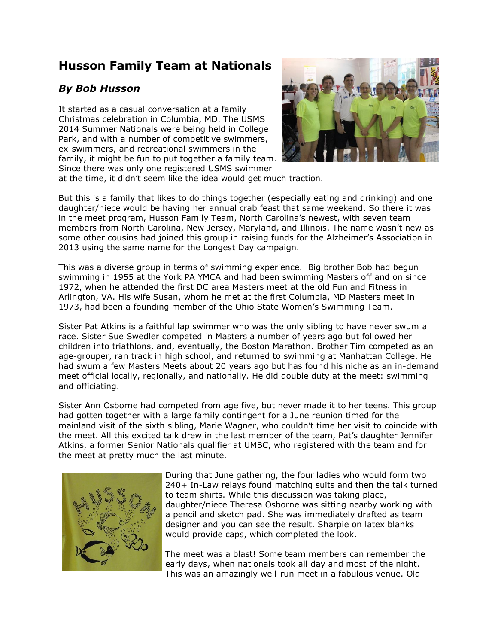## **Husson Family Team at Nationals**

## *By Bob Husson*

It started as a casual conversation at a family Christmas celebration in Columbia, MD. The USMS 2014 Summer Nationals were being held in College Park, and with a number of competitive swimmers, ex-swimmers, and recreational swimmers in the family, it might be fun to put together a family team. Since there was only one registered USMS swimmer



at the time, it didn't seem like the idea would get much traction.

But this is a family that likes to do things together (especially eating and drinking) and one daughter/niece would be having her annual crab feast that same weekend. So there it was in the meet program, Husson Family Team, North Carolina's newest, with seven team members from North Carolina, New Jersey, Maryland, and Illinois. The name wasn't new as some other cousins had joined this group in raising funds for the Alzheimer's Association in 2013 using the same name for the Longest Day campaign.

This was a diverse group in terms of swimming experience. Big brother Bob had begun swimming in 1955 at the York PA YMCA and had been swimming Masters off and on since 1972, when he attended the first DC area Masters meet at the old Fun and Fitness in Arlington, VA. His wife Susan, whom he met at the first Columbia, MD Masters meet in 1973, had been a founding member of the Ohio State Women's Swimming Team.

Sister Pat Atkins is a faithful lap swimmer who was the only sibling to have never swum a race. Sister Sue Swedler competed in Masters a number of years ago but followed her children into triathlons, and, eventually, the Boston Marathon. Brother Tim competed as an age-grouper, ran track in high school, and returned to swimming at Manhattan College. He had swum a few Masters Meets about 20 years ago but has found his niche as an in-demand meet official locally, regionally, and nationally. He did double duty at the meet: swimming and officiating.

Sister Ann Osborne had competed from age five, but never made it to her teens. This group had gotten together with a large family contingent for a June reunion timed for the mainland visit of the sixth sibling, Marie Wagner, who couldn't time her visit to coincide with the meet. All this excited talk drew in the last member of the team, Pat's daughter Jennifer Atkins, a former Senior Nationals qualifier at UMBC, who registered with the team and for the meet at pretty much the last minute.



During that June gathering, the four ladies who would form two 240+ In-Law relays found matching suits and then the talk turned to team shirts. While this discussion was taking place, daughter/niece Theresa Osborne was sitting nearby working with a pencil and sketch pad. She was immediately drafted as team designer and you can see the result. Sharpie on latex blanks would provide caps, which completed the look.

The meet was a blast! Some team members can remember the early days, when nationals took all day and most of the night. This was an amazingly well-run meet in a fabulous venue. Old